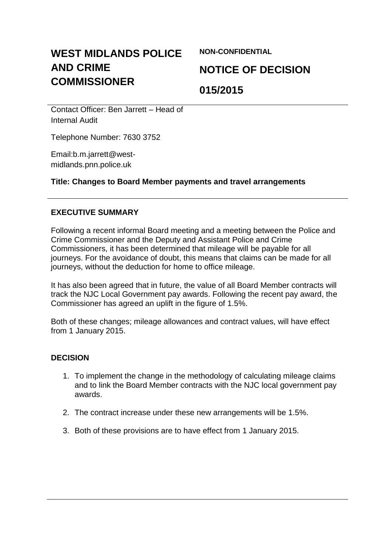# **WEST MIDLANDS POLICE AND CRIME COMMISSIONER**

**NON-CONFIDENTIAL**

# **NOTICE OF DECISION**

# **015/2015**

Contact Officer: Ben Jarrett – Head of Internal Audit

Telephone Number: 7630 3752

Email:b.m.jarrett@westmidlands.pnn.police.uk

# **Title: Changes to Board Member payments and travel arrangements**

### **EXECUTIVE SUMMARY**

Following a recent informal Board meeting and a meeting between the Police and Crime Commissioner and the Deputy and Assistant Police and Crime Commissioners, it has been determined that mileage will be payable for all journeys. For the avoidance of doubt, this means that claims can be made for all journeys, without the deduction for home to office mileage.

It has also been agreed that in future, the value of all Board Member contracts will track the NJC Local Government pay awards. Following the recent pay award, the Commissioner has agreed an uplift in the figure of 1.5%.

Both of these changes; mileage allowances and contract values, will have effect from 1 January 2015.

#### **DECISION**

- 1. To implement the change in the methodology of calculating mileage claims and to link the Board Member contracts with the NJC local government pay awards.
- 2. The contract increase under these new arrangements will be 1.5%.
- 3. Both of these provisions are to have effect from 1 January 2015.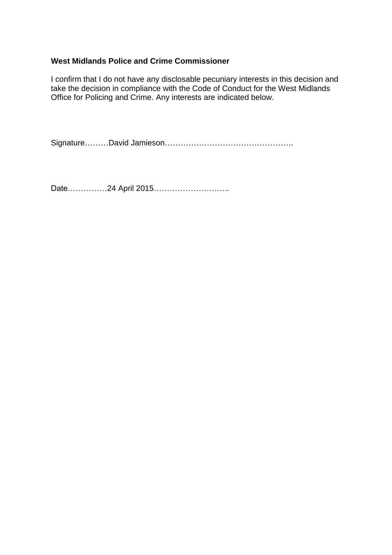#### **West Midlands Police and Crime Commissioner**

I confirm that I do not have any disclosable pecuniary interests in this decision and take the decision in compliance with the Code of Conduct for the West Midlands Office for Policing and Crime. Any interests are indicated below.

Signature………David Jamieson………………………………………….

Date……………24 April 2015………………………..